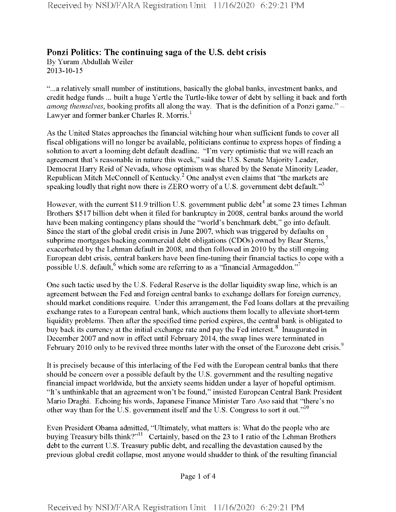## **Ponzi Politics: The continuing saga of the U.S. debt crisis**

By Yuram Abdullah Weiler 2013-10-15

"...a relatively small number of institutions, basically the global banks, investment banks, and credit hedge funds ... built a huge Yertle the Turtle-like tower of debt by selling it back and forth *among themselves*, booking profits all along the way. That is the definition of a Ponzi game." -Lawyer and former banker Charles R. Morris.<sup>1</sup>

As the United States approaches the financial witching hour when sufficient funds to cover all fiscal obligations will no longer be available, politicians continue to express hopes offinding a solution to avert a looming debt default deadline. "I'm very optimistic that we will reach an agreement that's reasonable in nature this week," said the U.S. Senate Majority Leader, Democrat Harry Reid of Nevada, whose optimism was shared by the Senate Minority Leader, Republican Mitch McConnell of Kentucky.<sup>2</sup> One analyst even claims that "the markets are speaking loudly that right now there is ZERO worry of a U.S. government debt default."<sup>3</sup>

However, with the current \$11.9 trillion U.S. government public debt<sup>4</sup> at some 23 times Lehman Brothers \$517 billion debt when it filed for bankruptcy in 2008, central banks around the world have been making contingency plans should the "world's benchmark debt," go into default. Since the start of the global credit crisis in June 2007, which was triggered by defaults on subprime mortgages backing commercial debt obligations (CDOs) owned by Bear Sterns,<sup>5</sup> exacerbated by the Lehman default in 2008, and then followed in 2010 by the still ongoing European debt crisis, central bankers have been fine-tuning their financial tactics to cope with a possible U.S. default,  $6$  which some are referring to as a "financial Armageddon."<sup>7</sup>

One such tactic used by the U.S. Federal Reserve is the dollar liquidity swap line, which is an agreement between the Fed and foreign central banks to exchange dollars for foreign currency, should market conditions require. Under this arrangement, the Fed loans dollars at the prevailing exchange rates to a European central bank, which auctions them locally to alleviate short-term liquidity problems. Then after the specified time period expires, the central bank is obligated to buy back its currency at the initial exchange rate and pay the Fed interest.<sup>8</sup> Inaugurated in December 2007 and now in effect until February 2014, the swap lines were terminated in February 2010 only to be revived three months later with the onset of the Eurozone debt crisis.<sup>9</sup>

It is precisely because of this interlacing of the Fed with the European central banks that there should be concern over a possible default by the U.S. government and the resulting negative financial impact worldwide, but the anxiety seems hidden under a layer of hopeful optimism. "It's unthinkable that an agreement won't be found," insisted European Central Bank President Mario Draghi. Echoing his words, Japanese Finance Minister Taro Aso said that "there's no other way than for the U.S. government itself and the U.S. Congress to sort it out."<sup>10</sup>

Even President Obama admitted, "Ultimately, what matters is: What do the people who are buying Treasury bills think?"<sup>11</sup> Certainly, based on the 23 to 1 ratio of the Lehman Brothers debt to the current U.S. Treasury public debt, and recalling the devastation caused by the previous global credit collapse, most anyone would shudder to think of the resulting financial

Page <sup>1</sup> of 4

Received by NSD/FARA Registration Unit 11/16/2020 6:29:21 PM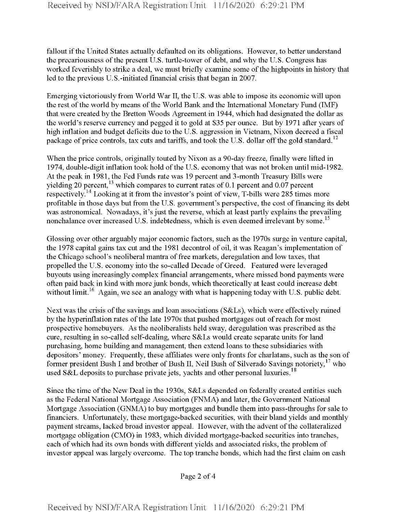fallout if the United States actually defaulted on its obligations. However, to better understand the precariousness of the present U.S. turtle-tower of debt, and why the U.S. Congress has worked feverishly to strike a deal, we must briefly examine some of the highpoints in history that led to the previous U.S.-initiated financial crisis that began in 2007.

Emerging victoriously from World War II, the U.S. was able to impose its economic will upon the rest of the world by means of the World Bank and the International Monetary Fund (IMF) that were created by the Bretton Woods Agreement in 1944, which had designated the dollar as the world's reserve currency and pegged it to gold at \$35 per ounce. But by 1971 after years of high inflation and budget deficits due to the U.S. aggression in Vietnam, Nixon decreed a fiscal package of price controls, tax cuts and tariffs, and took the U.S. dollar off the gold standard.<sup>12</sup>

When the price controls, originally touted by Nixon as a 90-day freeze, finally were lifted in 1974, double-digit inflation took hold of the U.S. economy that was not broken until mid-1982. At the peak in 1981, the Fed Funds rate was 19 percent and 3-month Treasury Bills were yielding 20 percent,<sup>13</sup> which compares to current rates of 0.1 percent and 0.07 percent respectively.<sup>14</sup> Looking at it from the investor's point of view, T-bills were 285 times more profitable in those days but from the U.S. government's perspective, the cost of financing its debt was astronomical. Nowadays, it's just the reverse, which at least partly explains the prevailing nonchalance over increased U.S. indebtedness, which is even deemed irrelevant by some.<sup>15</sup>

Glossing over other arguably major economic factors, such as the 1970s surge in venture capital, the 1978 capital gains tax cut and the 1981 decontrol of oil, it was Reagan's implementation of the Chicago school's neoliberal mantra offree markets, deregulation and low taxes, that propelled the U.S. economy into the so-called Decade of Greed. Featured were leveraged buyouts using increasingly complex financial arrangements, where missed bond payments were often paid back in kind with more junk bonds, which theoretically at least could increase debt without limit.<sup>16</sup> Again, we see an analogy with what is happening today with U.S. public debt.

Next was the crisis of the savings and loan associations (S&Ls), which were effectively ruined by the hyperinflation rates of the late 1970s that pushed mortgages out of reach for most prospective homebuyers. As the neoliberalists held sway, deregulation was prescribed as the cure, resulting in so-called self-dealing, where S&Ls would create separate units for land purchasing, home building and management, then extend loans to these subsidiaries with depositors' money. Frequently, these affiliates were only fronts for charlatans, such as the son of former president Bush I and brother of Bush II, Neil Bush of Silverado Savings notoriety,<sup>17</sup> who used S&L deposits to purchase private jets, yachts and other personal luxuries.<sup>18</sup>

Since the time of the New Deal in the 1930s, S&Ls depended on federally created entities such as the Federal National Mortgage Association (FNMA) and later, the Government National Mortgage Association (GNMA) to buy mortgages and bundle them into pass-throughs for sale to financiers. Unfortunately, these mortgage-backed securities, with their bland yields and monthly payment streams, lacked broad investor appeal. However, with the advent ofthe collateralized mortgage obligation (CMO) in 1983, which divided mortgage-backed securities into tranches, each of which had its own bonds with different yields and associated risks, the problem of investor appeal was largely overcome. The top tranche bonds, which had the first claim on cash

Page 2 of 4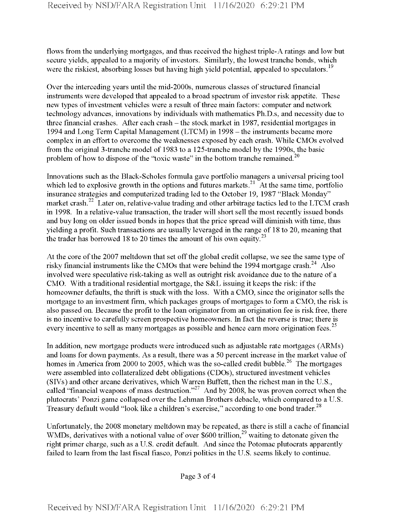flows from the underlying mortgages, and thus received the highest triple-A ratings and low but secure yields, appealed to a majority of investors. Similarly, the lowest tranche bonds, which were the riskiest, absorbing losses but having high yield potential, appealed to speculators.<sup>19</sup>

Over the interceding years until the mid-2000s, numerous classes of structured financial instruments were developed that appealed to a broad spectrum of investor risk appetite. These new types of investment vehicles were a result of three main factors: computer and network technology advances, innovations by individuals with mathematics Ph.D.s, and necessity due to three financial crashes. After each crash – the stock market in 1987, residential mortgages in 1994 and Long Term Capital Management (LTCM) in 1998 – the instruments became more complex in an effort to overcome the weaknesses exposed by each crash. While CMOs evolved from the original 3-tranche model of 1983 to a 125-tranche model by the 1990s, the basic problem of how to dispose of the "toxic waste" in the bottom tranche remained.<sup>20</sup>

Innovations such as the Black-Scholes formula gave portfolio managers a universal pricing tool which led to explosive growth in the options and futures markets.<sup>21</sup> At the same time, portfolio insurance strategies and computerized trading led to the October 19, 1987 "Black Monday" market crash.<sup>22</sup> Later on, relative-value trading and other arbitrage tactics led to the LTCM crash in 1998. In a relative-value transaction, the trader will short sell the most recently issued bonds and buy long on older issued bonds in hopes that the price spread will diminish with time, thus yielding a profit. Such transactions are usually leveraged in the range of 18 to 20, meaning that the trader has borrowed 18 to 20 times the amount of his own equity.<sup>23</sup>

At the core of the 2007 meltdown that set off the global credit collapse, we see the same type of risky financial instruments like the CMOs that were behind the 1994 mortgage crash.<sup>24</sup> Also involved were speculative risk-taking as well as outright risk avoidance due to the nature of a CMO. With a traditional residential mortgage, the S&L issuing it keeps the risk: if the homeowner defaults, the thrift is stuck with the loss. With a CMO, since the originator sells the mortgage to an investment firm, which packages groups of mortgages to form a CMO, the risk is also passed on. Because the profit to the loan originator from an origination fee is risk free, there is no incentive to carefully screen prospective homeowners. In fact the reverse is true; there is every incentive to sell as many mortgages as possible and hence earn more origination fees.<sup>25</sup>

In addition, new mortgage products were introduced such as adjustable rate mortgages (ARMs) and loans for down payments. As a result, there was a 50 percent increase in the market value of homes in America from 2000 to 2005, which was the so-called credit bubble.<sup>26</sup> The mortgages were assembled into collateralized debt obligations (CDOs), structured investment vehicles (SIVs) and other arcane derivatives, which Warren Buffett, then the richest man in the U.S., called "financial weapons of mass destruction."<sup>27</sup> And by 2008, he was proven correct when the plutocrats' Ponzi game collapsed over the Lehman Brothers debacle, which compared to a U.S. Treasury default would "look like a children's exercise," according to one bond trader.<sup>28</sup>

Unfortunately, the 2008 monetary meltdown may be repeated, as there is still a cache of financial WMDs, derivatives with a notional value of over \$600 trillion,<sup>29</sup> waiting to detonate given the right primer charge, such as a U.S. credit default. And since the Potomac plutocrats apparently failed to learn from the last fiscal fiasco, Ponzi politics in the U.S. seems likely to continue.

Page 3 of 4